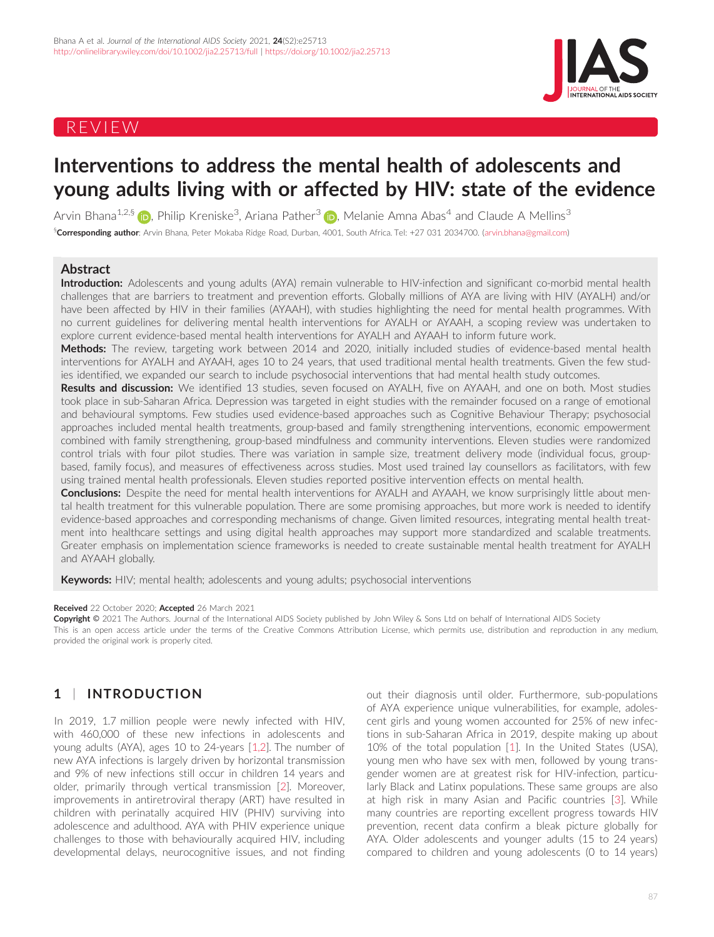# REVIEW



# Interventions to address the mental health of adolescents and young adults living with or affected by HIV: state of the evidence

Arvin Bhana<sup>1,2,[§](https://orcid.org/0000-0003-4235-0108)</sup> (**i**), Philip Kreniske<sup>3</sup>, Ariana Pather<sup>3</sup> (i), Melanie Amna Abas<sup>4</sup> and Claude A Mellins<sup>3</sup> §**Corresponding author**: Arvin Bhana, Peter Mokaba Ridge Road, Durban, 4001, South Africa. Tel: +27 031 2034700. [\(arvin.bhana@gmail.com](mailto:arvin.bhana@gmail.com))

### Abstract

Introduction: Adolescents and young adults (AYA) remain vulnerable to HIV-infection and significant co-morbid mental health challenges that are barriers to treatment and prevention efforts. Globally millions of AYA are living with HIV (AYALH) and/or have been affected by HIV in their families (AYAAH), with studies highlighting the need for mental health programmes. With no current guidelines for delivering mental health interventions for AYALH or AYAAH, a scoping review was undertaken to explore current evidence-based mental health interventions for AYALH and AYAAH to inform future work.

Methods: The review, targeting work between 2014 and 2020, initially included studies of evidence-based mental health interventions for AYALH and AYAAH, ages 10 to 24 years, that used traditional mental health treatments. Given the few studies identified, we expanded our search to include psychosocial interventions that had mental health study outcomes.

Results and discussion: We identified 13 studies, seven focused on AYALH, five on AYAAH, and one on both. Most studies took place in sub-Saharan Africa. Depression was targeted in eight studies with the remainder focused on a range of emotional and behavioural symptoms. Few studies used evidence-based approaches such as Cognitive Behaviour Therapy; psychosocial approaches included mental health treatments, group-based and family strengthening interventions, economic empowerment combined with family strengthening, group-based mindfulness and community interventions. Eleven studies were randomized control trials with four pilot studies. There was variation in sample size, treatment delivery mode (individual focus, groupbased, family focus), and measures of effectiveness across studies. Most used trained lay counsellors as facilitators, with few using trained mental health professionals. Eleven studies reported positive intervention effects on mental health.

Conclusions: Despite the need for mental health interventions for AYALH and AYAAH, we know surprisingly little about mental health treatment for this vulnerable population. There are some promising approaches, but more work is needed to identify evidence-based approaches and corresponding mechanisms of change. Given limited resources, integrating mental health treatment into healthcare settings and using digital health approaches may support more standardized and scalable treatments. Greater emphasis on implementation science frameworks is needed to create sustainable mental health treatment for AYALH and AYAAH globally.

Keywords: HIV; mental health; adolescents and young adults; psychosocial interventions

#### Received 22 October 2020; Accepted 26 March 2021

Copyright © 2021 The Authors. Journal of the International AIDS Society published by John Wiley & Sons Ltd on behalf of International AIDS Society This is an open access article under the terms of the [Creative Commons Attribution](http://creativecommons.org/licenses/by/4.0/) License, which permits use, distribution and reproduction in any medium, provided the original work is properly cited.

# 1 | INTRODUCTION

In 2019, 1.7 million people were newly infected with HIV, with 460,000 of these new infections in adolescents and young adults (AYA), ages 10 to 24-years [[1,2\]](#page-10-0). The number of new AYA infections is largely driven by horizontal transmission and 9% of new infections still occur in children 14 years and older, primarily through vertical transmission [[2\]](#page-10-0). Moreover, improvements in antiretroviral therapy (ART) have resulted in children with perinatally acquired HIV (PHIV) surviving into adolescence and adulthood. AYA with PHIV experience unique challenges to those with behaviourally acquired HIV, including developmental delays, neurocognitive issues, and not finding

out their diagnosis until older. Furthermore, sub-populations of AYA experience unique vulnerabilities, for example, adolescent girls and young women accounted for 25% of new infections in sub-Saharan Africa in 2019, despite making up about 10% of the total population [[1\]](#page-10-0). In the United States (USA), young men who have sex with men, followed by young transgender women are at greatest risk for HIV-infection, particularly Black and Latinx populations. These same groups are also at high risk in many Asian and Pacific countries [[3\]](#page-10-0). While many countries are reporting excellent progress towards HIV prevention, recent data confirm a bleak picture globally for AYA. Older adolescents and younger adults (15 to 24 years) compared to children and young adolescents (0 to 14 years)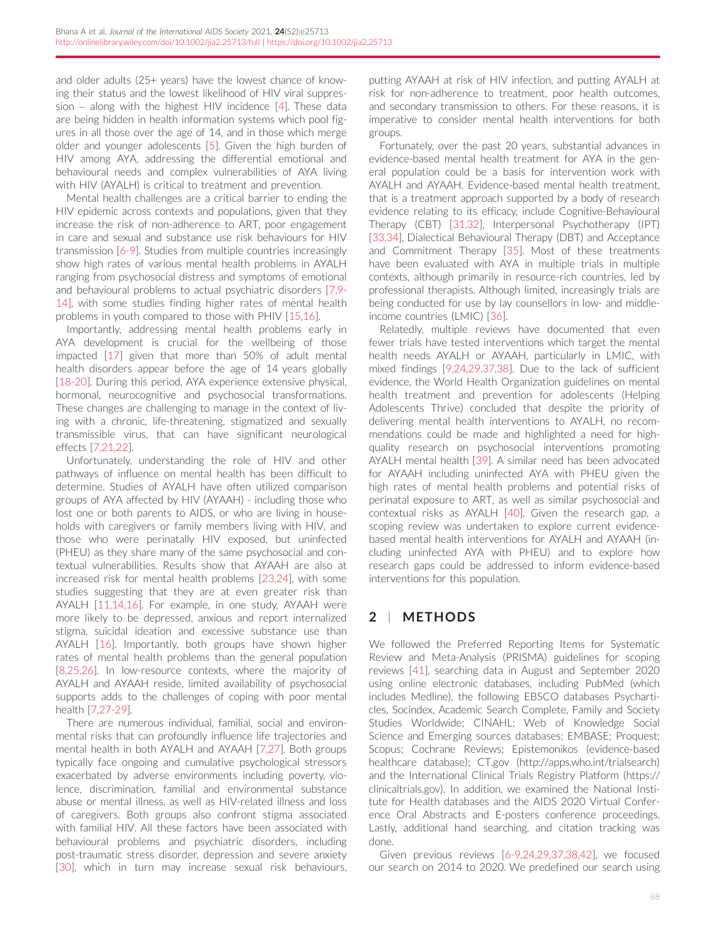and older adults (25+ years) have the lowest chance of knowing their status and the lowest likelihood of HIV viral suppression – along with the highest HIV incidence [\[4](#page-10-0)]. These data are being hidden in health information systems which pool figures in all those over the age of 14, and in those which merge older and younger adolescents [\[5](#page-10-0)]. Given the high burden of HIV among AYA, addressing the differential emotional and behavioural needs and complex vulnerabilities of AYA living with HIV (AYALH) is critical to treatment and prevention.

Mental health challenges are a critical barrier to ending the HIV epidemic across contexts and populations, given that they increase the risk of non-adherence to ART, poor engagement in care and sexual and substance use risk behaviours for HIV transmission [[6-9](#page-10-0)]. Studies from multiple countries increasingly show high rates of various mental health problems in AYALH ranging from psychosocial distress and symptoms of emotional and behavioural problems to actual psychiatric disorders [\[7,9-](#page-10-0) [14\]](#page-10-0), with some studies finding higher rates of mental health problems in youth compared to those with PHIV [[15,16\]](#page-10-0).

Importantly, addressing mental health problems early in AYA development is crucial for the wellbeing of those impacted [[17\]](#page-10-0) given that more than 50% of adult mental health disorders appear before the age of 14 years globally [\[18-20\]](#page-10-0). During this period, AYA experience extensive physical, hormonal, neurocognitive and psychosocial transformations. These changes are challenging to manage in the context of living with a chronic, life-threatening, stigmatized and sexually transmissible virus, that can have significant neurological effects [[7,21,22\]](#page-10-0).

Unfortunately, understanding the role of HIV and other pathways of influence on mental health has been difficult to determine. Studies of AYALH have often utilized comparison groups of AYA affected by HIV (AYAAH) - including those who lost one or both parents to AIDS, or who are living in households with caregivers or family members living with HIV, and those who were perinatally HIV exposed, but uninfected (PHEU) as they share many of the same psychosocial and contextual vulnerabilities. Results show that AYAAH are also at increased risk for mental health problems [\[23,24\]](#page-10-0), with some studies suggesting that they are at even greater risk than AYALH [\[11,14,16](#page-10-0)]. For example, in one study, AYAAH were more likely to be depressed, anxious and report internalized stigma, suicidal ideation and excessive substance use than AYALH [[16\]](#page-10-0). Importantly, both groups have shown higher rates of mental health problems than the general population [\[8,25,26](#page-10-0)]. In low-resource contexts, where the majority of AYALH and AYAAH reside, limited availability of psychosocial supports adds to the challenges of coping with poor mental health [[7,27-29\]](#page-10-0).

There are numerous individual, familial, social and environmental risks that can profoundly influence life trajectories and mental health in both AYALH and AYAAH [[7,27\]](#page-10-0). Both groups typically face ongoing and cumulative psychological stressors exacerbated by adverse environments including poverty, violence, discrimination, familial and environmental substance abuse or mental illness, as well as HIV-related illness and loss of caregivers. Both groups also confront stigma associated with familial HIV. All these factors have been associated with behavioural problems and psychiatric disorders, including post-traumatic stress disorder, depression and severe anxiety [\[30](#page-11-0)], which in turn may increase sexual risk behaviours, putting AYAAH at risk of HIV infection, and putting AYALH at risk for non-adherence to treatment, poor health outcomes, and secondary transmission to others. For these reasons, it is imperative to consider mental health interventions for both groups.

Fortunately, over the past 20 years, substantial advances in evidence-based mental health treatment for AYA in the general population could be a basis for intervention work with AYALH and AYAAH. Evidence-based mental health treatment, that is a treatment approach supported by a body of research evidence relating to its efficacy, include Cognitive-Behavioural Therapy (CBT) [[31,32\]](#page-11-0), Interpersonal Psychotherapy (IPT) [\[33,34\]](#page-11-0), Dialectical Behavioural Therapy (DBT) and Acceptance and Commitment Therapy [[35\]](#page-11-0). Most of these treatments have been evaluated with AYA in multiple trials in multiple contexts, although primarily in resource-rich countries, led by professional therapists. Although limited, increasingly trials are being conducted for use by lay counsellors in low- and middleincome countries (LMIC) [[36](#page-11-0)].

Relatedly, multiple reviews have documented that even fewer trials have tested interventions which target the mental health needs AYALH or AYAAH, particularly in LMIC, with mixed findings [[9,24,29,37,38\]](#page-10-0). Due to the lack of sufficient evidence, the World Health Organization guidelines on mental health treatment and prevention for adolescents (Helping Adolescents Thrive) concluded that despite the priority of delivering mental health interventions to AYALH, no recommendations could be made and highlighted a need for highquality research on psychosocial interventions promoting AYALH mental health [[39](#page-11-0)]. A similar need has been advocated for AYAAH including uninfected AYA with PHEU given the high rates of mental health problems and potential risks of perinatal exposure to ART, as well as similar psychosocial and contextual risks as AYALH [\[40\]](#page-11-0). Given the research gap, a scoping review was undertaken to explore current evidencebased mental health interventions for AYALH and AYAAH (including uninfected AYA with PHEU) and to explore how research gaps could be addressed to inform evidence-based interventions for this population.

# 2 | METHODS

We followed the Preferred Reporting Items for Systematic Review and Meta-Analysis (PRISMA) guidelines for scoping reviews [[41](#page-11-0)], searching data in August and September 2020 using online electronic databases, including PubMed (which includes Medline), the following EBSCO databases Psycharticles, Socindex, Academic Search Complete, Family and Society Studies Worldwide; CINAHL; Web of Knowledge Social Science and Emerging sources databases; EMBASE; Proquest; Scopus; Cochrane Reviews; Epistemonikos (evidence-based healthcare database); CT.gov [\(http://apps.who.int/trialsearch\)](http://apps.who.int/trialsearch) and the International Clinical Trials Registry Platform [\(https://](https://clinicaltrials.gov) [clinicaltrials.gov](https://clinicaltrials.gov)). In addition, we examined the National Institute for Health databases and the AIDS 2020 Virtual Conference Oral Abstracts and E-posters conference proceedings. Lastly, additional hand searching, and citation tracking was done.

Given previous reviews [\[6-9,24,29,37,38,42](#page-10-0)], we focused our search on 2014 to 2020. We predefined our search using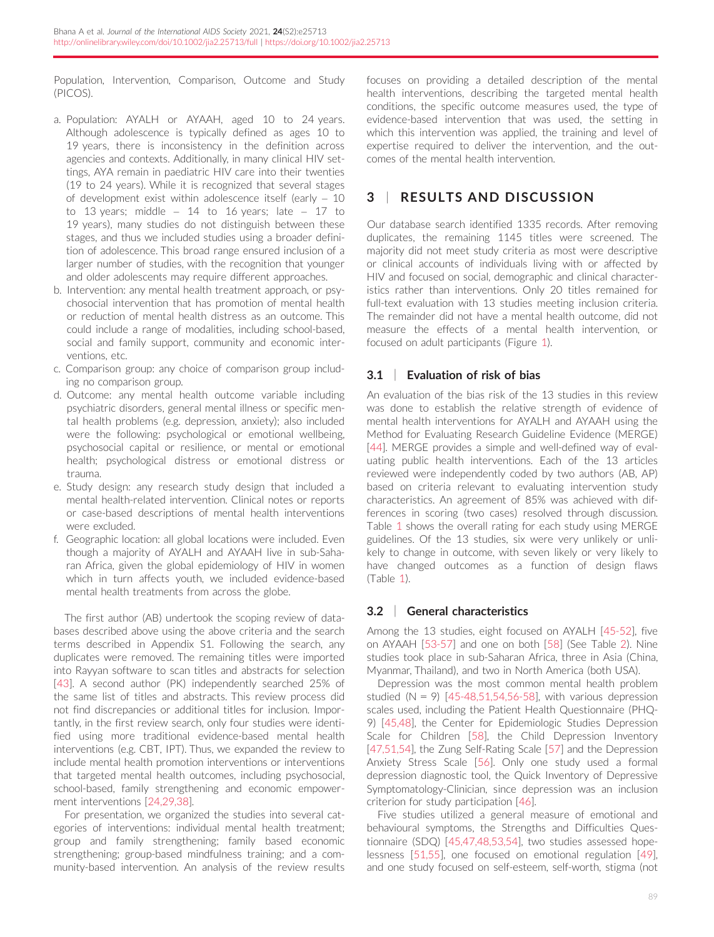Population, Intervention, Comparison, Outcome and Study (PICOS).

- a. Population: AYALH or AYAAH, aged 10 to 24 years. Although adolescence is typically defined as ages 10 to 19 years, there is inconsistency in the definition across agencies and contexts. Additionally, in many clinical HIV settings, AYA remain in paediatric HIV care into their twenties (19 to 24 years). While it is recognized that several stages of development exist within adolescence itself (early – 10 to 13 years; middle  $-$  14 to 16 years; late  $-$  17 to 19 years), many studies do not distinguish between these stages, and thus we included studies using a broader definition of adolescence. This broad range ensured inclusion of a larger number of studies, with the recognition that younger and older adolescents may require different approaches.
- b. Intervention: any mental health treatment approach, or psychosocial intervention that has promotion of mental health or reduction of mental health distress as an outcome. This could include a range of modalities, including school-based, social and family support, community and economic interventions, etc.
- c. Comparison group: any choice of comparison group including no comparison group.
- d. Outcome: any mental health outcome variable including psychiatric disorders, general mental illness or specific mental health problems (e.g. depression, anxiety); also included were the following: psychological or emotional wellbeing, psychosocial capital or resilience, or mental or emotional health; psychological distress or emotional distress or trauma.
- e. Study design: any research study design that included a mental health-related intervention. Clinical notes or reports or case-based descriptions of mental health interventions were excluded.
- f. Geographic location: all global locations were included. Even though a majority of AYALH and AYAAH live in sub-Saharan Africa, given the global epidemiology of HIV in women which in turn affects youth, we included evidence-based mental health treatments from across the globe.

The first author (AB) undertook the scoping review of databases described above using the above criteria and the search terms described in Appendix S1. Following the search, any duplicates were removed. The remaining titles were imported into Rayyan software to scan titles and abstracts for selection [\[43\]](#page-11-0). A second author (PK) independently searched 25% of the same list of titles and abstracts. This review process did not find discrepancies or additional titles for inclusion. Importantly, in the first review search, only four studies were identified using more traditional evidence-based mental health interventions (e.g. CBT, IPT). Thus, we expanded the review to include mental health promotion interventions or interventions that targeted mental health outcomes, including psychosocial, school-based, family strengthening and economic empowerment interventions [\[24,29,38](#page-11-0)].

For presentation, we organized the studies into several categories of interventions: individual mental health treatment; group and family strengthening; family based economic strengthening; group-based mindfulness training; and a community-based intervention. An analysis of the review results

focuses on providing a detailed description of the mental health interventions, describing the targeted mental health conditions, the specific outcome measures used, the type of evidence-based intervention that was used, the setting in which this intervention was applied, the training and level of expertise required to deliver the intervention, and the outcomes of the mental health intervention.

# 3 | RESULTS AND DISCUSSION

Our database search identified 1335 records. After removing duplicates, the remaining 1145 titles were screened. The majority did not meet study criteria as most were descriptive or clinical accounts of individuals living with or affected by HIV and focused on social, demographic and clinical characteristics rather than interventions. Only 20 titles remained for full-text evaluation with 13 studies meeting inclusion criteria. The remainder did not have a mental health outcome, did not measure the effects of a mental health intervention, or focused on adult participants (Figure [1](#page-3-0)).

## 3.1 | Evaluation of risk of bias

An evaluation of the bias risk of the 13 studies in this review was done to establish the relative strength of evidence of mental health interventions for AYALH and AYAAH using the Method for Evaluating Research Guideline Evidence (MERGE) [[44\]](#page-11-0). MERGE provides a simple and well-defined way of evaluating public health interventions. Each of the 13 articles reviewed were independently coded by two authors (AB, AP) based on criteria relevant to evaluating intervention study characteristics. An agreement of 85% was achieved with differences in scoring (two cases) resolved through discussion. Table [1](#page-4-0) shows the overall rating for each study using MERGE guidelines. Of the 13 studies, six were very unlikely or unlikely to change in outcome, with seven likely or very likely to have changed outcomes as a function of design flaws (Table [1](#page-4-0)).

## 3.2 | General characteristics

Among the 13 studies, eight focused on AYALH [\[45-52\]](#page-11-0), five on AYAAH [\[53-57\]](#page-11-0) and one on both [\[58\]](#page-11-0) (See Table [2\)](#page-5-0). Nine studies took place in sub-Saharan Africa, three in Asia (China, Myanmar, Thailand), and two in North America (both USA).

Depression was the most common mental health problem studied  $(N = 9)$  [[45-48,51,54,56-58](#page-11-0)], with various depression scales used, including the Patient Health Questionnaire (PHQ-9) [[45,48](#page-11-0)], the Center for Epidemiologic Studies Depression Scale for Children [\[58\]](#page-11-0), the Child Depression Inventory [[47,51,54\]](#page-11-0), the Zung Self-Rating Scale [\[57\]](#page-11-0) and the Depression Anxiety Stress Scale [\[56\]](#page-11-0). Only one study used a formal depression diagnostic tool, the Quick Inventory of Depressive Symptomatology-Clinician, since depression was an inclusion criterion for study participation [[46](#page-11-0)].

Five studies utilized a general measure of emotional and behavioural symptoms, the Strengths and Difficulties Questionnaire (SDQ) [[45,47,48,53,54](#page-11-0)], two studies assessed hopelessness [\[51,55](#page-11-0)], one focused on emotional regulation [\[49](#page-11-0)], and one study focused on self-esteem, self-worth, stigma (not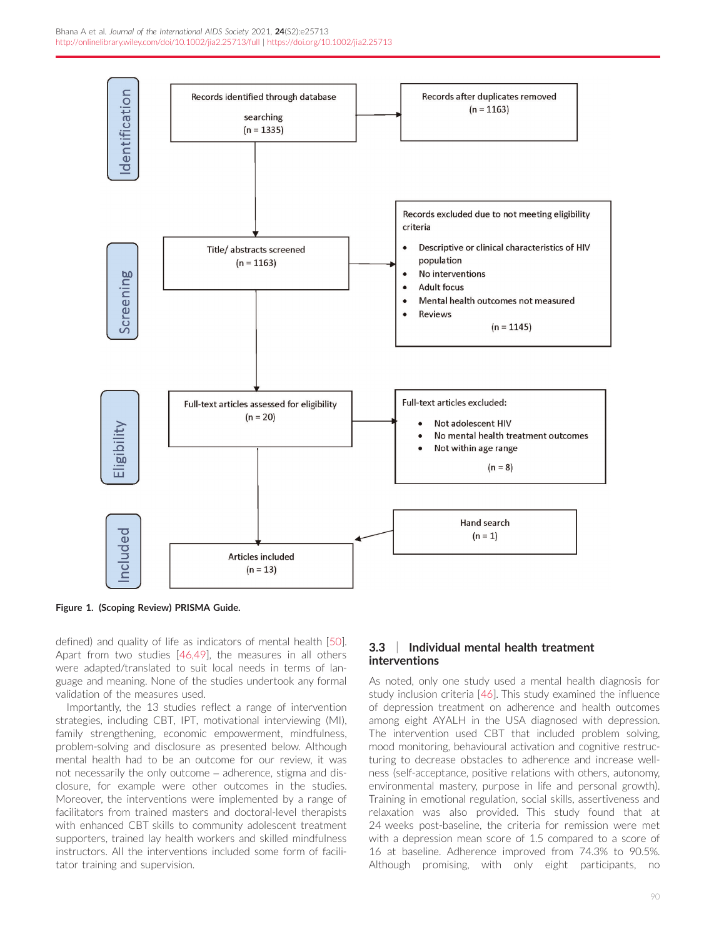<span id="page-3-0"></span>

Figure 1. (Scoping Review) PRISMA Guide.

defined) and quality of life as indicators of mental health [[50\]](#page-11-0). Apart from two studies [[46,49\]](#page-11-0), the measures in all others were adapted/translated to suit local needs in terms of language and meaning. None of the studies undertook any formal validation of the measures used.

Importantly, the 13 studies reflect a range of intervention strategies, including CBT, IPT, motivational interviewing (MI), family strengthening, economic empowerment, mindfulness, problem-solving and disclosure as presented below. Although mental health had to be an outcome for our review, it was not necessarily the only outcome – adherence, stigma and disclosure, for example were other outcomes in the studies. Moreover, the interventions were implemented by a range of facilitators from trained masters and doctoral-level therapists with enhanced CBT skills to community adolescent treatment supporters, trained lay health workers and skilled mindfulness instructors. All the interventions included some form of facilitator training and supervision.

### 3.3 | Individual mental health treatment interventions

As noted, only one study used a mental health diagnosis for study inclusion criteria [\[46](#page-11-0)]. This study examined the influence of depression treatment on adherence and health outcomes among eight AYALH in the USA diagnosed with depression. The intervention used CBT that included problem solving, mood monitoring, behavioural activation and cognitive restructuring to decrease obstacles to adherence and increase wellness (self-acceptance, positive relations with others, autonomy, environmental mastery, purpose in life and personal growth). Training in emotional regulation, social skills, assertiveness and relaxation was also provided. This study found that at 24 weeks post-baseline, the criteria for remission were met with a depression mean score of 1.5 compared to a score of 16 at baseline. Adherence improved from 74.3% to 90.5%. Although promising, with only eight participants, no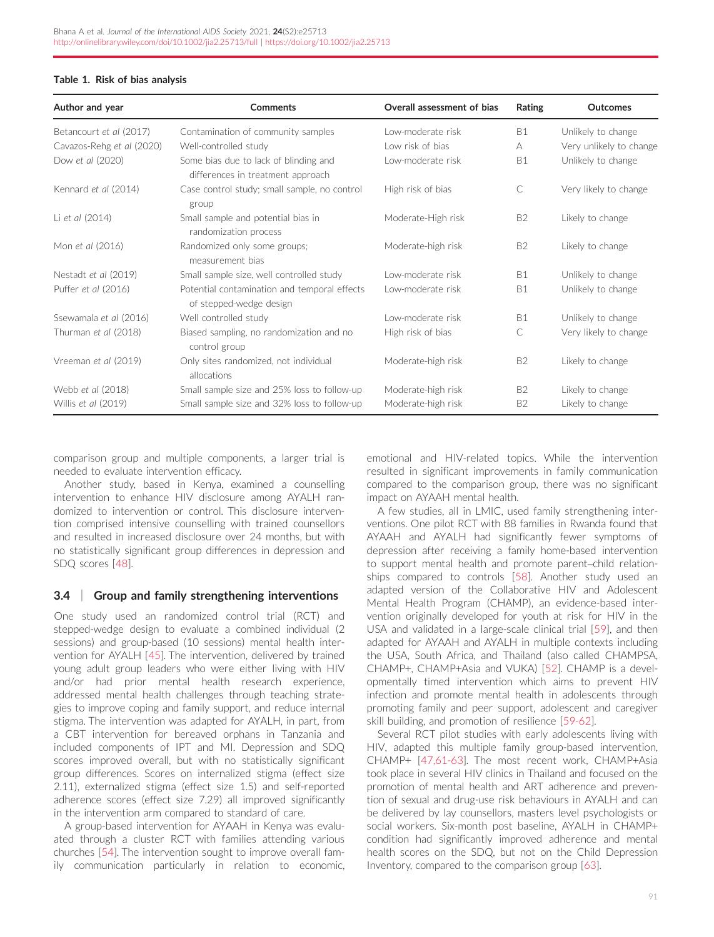#### <span id="page-4-0"></span>Table 1. Risk of bias analysis

| Author and year           | Comments                                                                   | Overall assessment of bias | Rating    | <b>Outcomes</b>         |
|---------------------------|----------------------------------------------------------------------------|----------------------------|-----------|-------------------------|
| Betancourt et al (2017)   | Contamination of community samples                                         | I ow-moderate risk         | <b>B1</b> | Unlikely to change      |
| Cavazos-Rehg et al (2020) | Well-controlled study                                                      | Low risk of bias           | A         | Very unlikely to change |
| Dow et al (2020)          | Some bias due to lack of blinding and<br>differences in treatment approach | Low-moderate risk          | <b>B1</b> | Unlikely to change      |
| Kennard et al (2014)      | Case control study; small sample, no control<br>group                      | High risk of bias          | C         | Very likely to change   |
| Li et al (2014)           | Small sample and potential bias in<br>randomization process                | Moderate-High risk         | <b>B2</b> | Likely to change        |
| Mon et al (2016)          | Randomized only some groups;<br>measurement bias                           | Moderate-high risk         | <b>B2</b> | Likely to change        |
| Nestadt et al (2019)      | Small sample size, well controlled study                                   | Low-moderate risk          | <b>B1</b> | Unlikely to change      |
| Puffer et al (2016)       | Potential contamination and temporal effects<br>of stepped-wedge design    | Low-moderate risk          | <b>B1</b> | Unlikely to change      |
| Ssewamala et al (2016)    | Well controlled study                                                      | Low-moderate risk          | <b>B1</b> | Unlikely to change      |
| Thurman et al (2018)      | Biased sampling, no randomization and no<br>control group                  | High risk of bias          | C         | Very likely to change   |
| Vreeman et al (2019)      | Only sites randomized, not individual<br>allocations                       | Moderate-high risk         | <b>B2</b> | Likely to change        |
| Webb et al (2018)         | Small sample size and 25% loss to follow-up                                | Moderate-high risk         | <b>B2</b> | Likely to change        |
| Willis et al (2019)       | Small sample size and 32% loss to follow-up                                | Moderate-high risk         | <b>B2</b> | Likely to change        |

comparison group and multiple components, a larger trial is needed to evaluate intervention efficacy.

Another study, based in Kenya, examined a counselling intervention to enhance HIV disclosure among AYALH randomized to intervention or control. This disclosure intervention comprised intensive counselling with trained counsellors and resulted in increased disclosure over 24 months, but with no statistically significant group differences in depression and SDQ scores [\[48\]](#page-11-0).

#### 3.4 | Group and family strengthening interventions

One study used an randomized control trial (RCT) and stepped-wedge design to evaluate a combined individual (2 sessions) and group-based (10 sessions) mental health intervention for AYALH [[45](#page-11-0)]. The intervention, delivered by trained young adult group leaders who were either living with HIV and/or had prior mental health research experience, addressed mental health challenges through teaching strategies to improve coping and family support, and reduce internal stigma. The intervention was adapted for AYALH, in part, from a CBT intervention for bereaved orphans in Tanzania and included components of IPT and MI. Depression and SDQ scores improved overall, but with no statistically significant group differences. Scores on internalized stigma (effect size 2.11), externalized stigma (effect size 1.5) and self-reported adherence scores (effect size 7.29) all improved significantly in the intervention arm compared to standard of care.

A group-based intervention for AYAAH in Kenya was evaluated through a cluster RCT with families attending various churches [[54\]](#page-11-0). The intervention sought to improve overall family communication particularly in relation to economic, emotional and HIV-related topics. While the intervention resulted in significant improvements in family communication compared to the comparison group, there was no significant impact on AYAAH mental health.

A few studies, all in LMIC, used family strengthening interventions. One pilot RCT with 88 families in Rwanda found that AYAAH and AYALH had significantly fewer symptoms of depression after receiving a family home-based intervention to support mental health and promote parent–child relationships compared to controls [[58](#page-11-0)]. Another study used an adapted version of the Collaborative HIV and Adolescent Mental Health Program (CHAMP), an evidence-based intervention originally developed for youth at risk for HIV in the USA and validated in a large-scale clinical trial [[59\]](#page-11-0), and then adapted for AYAAH and AYALH in multiple contexts including the USA, South Africa, and Thailand (also called CHAMPSA, CHAMP+, CHAMP+Asia and VUKA) [[52\]](#page-11-0). CHAMP is a developmentally timed intervention which aims to prevent HIV infection and promote mental health in adolescents through promoting family and peer support, adolescent and caregiver skill building, and promotion of resilience [[59-62](#page-11-0)].

Several RCT pilot studies with early adolescents living with HIV, adapted this multiple family group-based intervention, CHAMP+ [\[47,61-63](#page-11-0)]. The most recent work, CHAMP+Asia took place in several HIV clinics in Thailand and focused on the promotion of mental health and ART adherence and prevention of sexual and drug-use risk behaviours in AYALH and can be delivered by lay counsellors, masters level psychologists or social workers. Six-month post baseline, AYALH in CHAMP+ condition had significantly improved adherence and mental health scores on the SDQ, but not on the Child Depression Inventory, compared to the comparison group [\[63](#page-11-0)].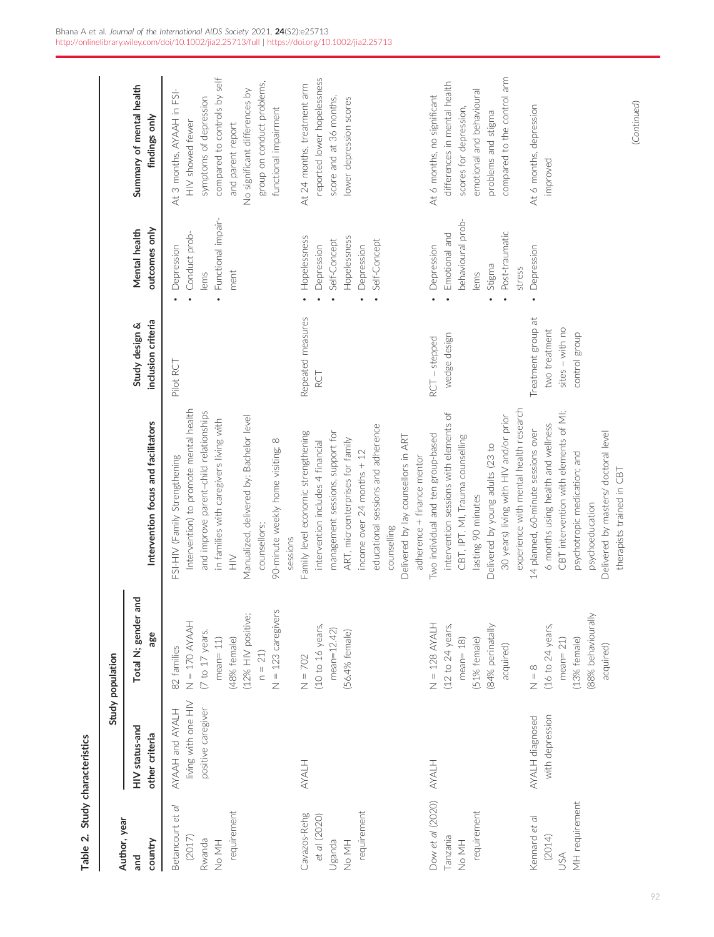<span id="page-5-0"></span>

| Author, year                                                   |                                                              | Study population                                                                                                                           |                                                                                                                                                                                                                                                                                                          |                                                                         |                                                                                                |                                                                                                                                                                                                                       |
|----------------------------------------------------------------|--------------------------------------------------------------|--------------------------------------------------------------------------------------------------------------------------------------------|----------------------------------------------------------------------------------------------------------------------------------------------------------------------------------------------------------------------------------------------------------------------------------------------------------|-------------------------------------------------------------------------|------------------------------------------------------------------------------------------------|-----------------------------------------------------------------------------------------------------------------------------------------------------------------------------------------------------------------------|
| country<br>and                                                 | HIV status-and<br>other criteria                             | Total N; gender and<br>age                                                                                                                 | Intervention focus and facilitators                                                                                                                                                                                                                                                                      | inclusion criteria<br>Study design &                                    | outcomes only<br>Mental health                                                                 | Summary of mental health<br>findings only                                                                                                                                                                             |
| Betancourt et al<br>requirement<br>(2017)<br>Rwanda<br>HM PN   | living with one HIV<br>positive caregiver<br>AYAAH and AYALH | $N = 123$ caregivers<br>(12% HIV positive;<br>$N = 170$ AYAAH<br>(7 to 17 years,<br>(48% female)<br>$mean = 11$<br>82 families<br>$n = 21$ | Intervention) to promote mental health<br>and improve parent-child relationships<br>Manualized, delivered by: Bachelor level<br>in families with caregivers living with<br>$\infty$<br>90-minute weekly home visiting;<br>FSI-HIV (Family Strengthening<br>counsellors;<br>sessions<br>$\geqq$           | Pilot RCT                                                               | Functional impair-<br>Conduct prob-<br>Depression<br>ment<br>lems                              | compared to controls by self<br>group on conduct problems,<br>No significant differences by<br>At 3 months, AYAAH in FSI-<br>symptoms of depression<br>functional impairment<br>HIV showed fewer<br>and parent report |
| requirement<br>Cavazos-Rehg<br>et al (2020)<br>Uganda<br>No MH | HJAKA                                                        | (10 to 16 years,<br>$mean = 12.42$<br>(56.4% female)<br>$N = 702$                                                                          | educational sessions and adherence<br>Family level economic strengthening<br>management sessions, support for<br>Delivered by lay counsellors in ART<br>ART, microenterprises for family<br>intervention includes 4 financial<br>income over 24 months + 12<br>adherence + finance mentor<br>counselling | Repeated measures<br>RCT                                                | Hopelessness<br>Hopelessness<br>Self-Concept<br>Self-Concept<br>Depression<br>Depression       | reported lower hopelessness<br>At 24 months, treatment arm<br>score and at 36 months,<br>lower depression scores                                                                                                      |
| Dow et al (2020)<br>requirement<br>Tanzania<br>No MH           | HJKXA                                                        | $N = 128$ AYALH<br>(84% perinatally<br>(12 to 24 years,<br>$mean = 18$<br>51% female)<br>acquired)                                         | experience with mental health research<br>intervention sessions with elements of<br>30 years) living with HIV and/or prior<br>Two individual and ten group-based<br>CBT, IPT, MI, Trauma counselling<br>Delivered by young adults (23 to<br>lasting 90 minutes                                           | wedge design<br>$RCT - stepped$                                         | behavioural prob-<br>Post-traumatic<br>Emotional and<br>Depression<br>Stigma<br>stress<br>lems | compared to the control arm<br>differences in mental health<br>emotional and behavioural<br>At 6 months, no significant<br>scores for depression,<br>problems and stigma                                              |
| MH requirement<br>Kennard et al<br>(2014)<br>USA               | with depression<br>AYALH diagnosed                           | (88% behaviourally<br>(16 to 24 years,<br>$(13%$ female)<br>$mean = 21$<br>acquired)<br>$\frac{8}{10}$                                     | CBT intervention with elements of MI;<br>6 months using health and wellness<br>14 planned, 60-minute sessions over<br>Delivered by masters/ doctoral level<br>psychotropic medication; and<br>therapists trained in CBT<br>psychoeducation                                                               | Treatment group at<br>sites - with no<br>two treatment<br>control group | Depression                                                                                     | (Continued)<br>At 6 months, depression<br>improved                                                                                                                                                                    |

Table 2. Study characteristics

I

Table 2. Study characteristics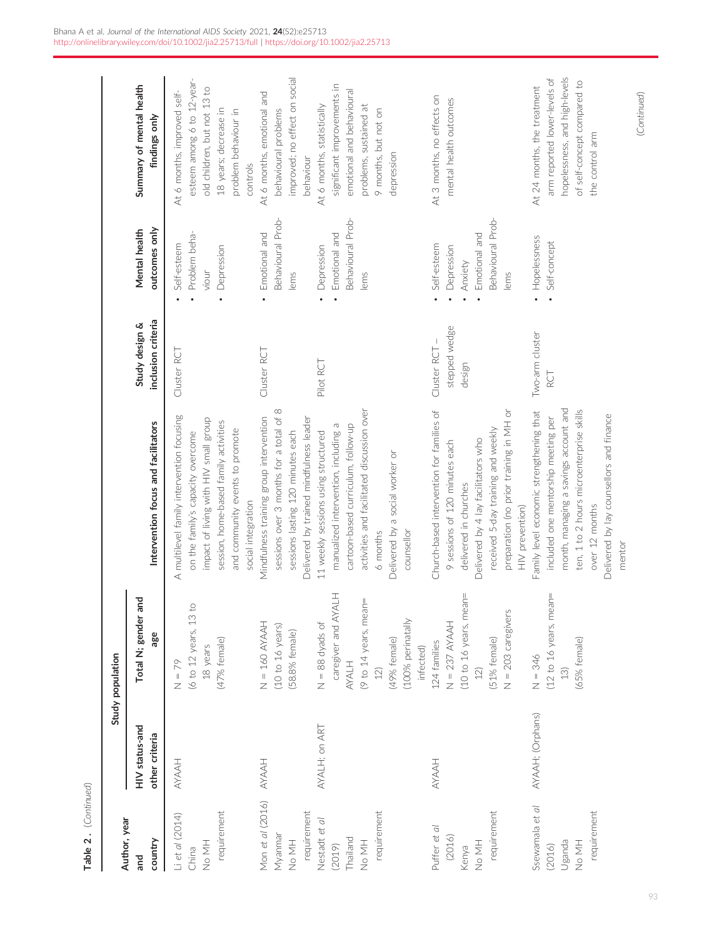| Author, year                                                |                                  | Study population                                                                                                                           |                                                                                                                                                                                                                                                 |                                        |                                                                                    |                                                                                                                                                          |
|-------------------------------------------------------------|----------------------------------|--------------------------------------------------------------------------------------------------------------------------------------------|-------------------------------------------------------------------------------------------------------------------------------------------------------------------------------------------------------------------------------------------------|----------------------------------------|------------------------------------------------------------------------------------|----------------------------------------------------------------------------------------------------------------------------------------------------------|
| country<br>and                                              | HIV status-and<br>other criteria | <b>Pue</b><br>Total N; gender<br>age                                                                                                       | Intervention focus and facilitators                                                                                                                                                                                                             | inclusion criteria<br>Study design &   | outcomes only<br>Mental health                                                     | Summary of mental health<br>findings only                                                                                                                |
| requirement<br>Li et al (2014)<br>No MH<br>China            | HAANA                            | $\overline{c}$<br>(6 to 12 years, 13<br>(47% female)<br>18 years<br>$N = 79$                                                               | A multilevel family intervention focusing<br>impact of living with HIV small group<br>session, home-based family activities<br>and community events to promote<br>on the family's capacity overcome<br>social integration                       | Cluster RCT                            | Problem beha-<br>Self-esteem<br>Depression<br>viour                                | esteem among 6 to 12-year-<br>old children, but not 13 to<br>At 6 months, improved self-<br>18 years; decrease in<br>problem behaviour in<br>controls    |
| Mon et al (2016)<br>requirement<br>Myanmar<br>HN ON         | HAANA                            | $N = 160$ AYAAH<br>(10 to 16 years)<br>(58.8% female)                                                                                      | sessions over 3 months for a total of 8<br>Delivered by trained mindfulness leader<br>Mindfulness training group intervention<br>sessions lasting 120 minutes each                                                                              | Cluster RCT                            | Behavioural Prob-<br>Emotional and<br>lems                                         | improved; no effect on social<br>At 6 months, emotional and<br>behavioural problems<br>behaviour                                                         |
| requirement<br>Nestadt et al<br>Thailand<br>HM PN<br>(2019) | AYALH; on ART                    | caregiver and AYALH<br>(9 to 14 years, mean=<br>(100% perinatally<br>$N = 88$ dyads of<br>(49% female)<br>infected)<br><b>AYALH</b><br>12) | activities and facilitated discussion over<br>cartoon-based curriculum, follow-up<br>Б<br>manualized intervention, including<br>11 weekly sessions using structured<br>Delivered by a social worker or<br>counsellor<br>6 months                | Pilot RCT                              | Behavioural Prob-<br>Emotional and<br>Depression<br>lems<br>$\bullet$              | significant improvements in<br>emotional and behavioural<br>At 6 months, statistically<br>ਨ<br>9 months, but not on<br>problems, sustained<br>depression |
| requirement<br>Puffer et al<br>(2016)<br>No MH<br>Kenya     | HAAH                             | (10 to 16 years, mean=<br>Š<br>$N = 203$ caregiver<br>$N = 237$ AYAAH<br>(51% female)<br>124 families<br>12)                               | Church-based intervention for families of<br>preparation (no prior training in MH or<br>received 5-day training and weekly<br>Delivered by 4 lay facilitators who<br>9 sessions of 120 minutes each<br>delivered in churches<br>HIV prevention) | stepped wedge<br>Cluster RCT<br>design | Behavioural Prob-<br>Emotional and<br>Self-esteem<br>Depression<br>Anxiety<br>lems | At 3 months, no effects on<br>mental health outcomes                                                                                                     |
| Ssewamala et al<br>requirement<br>Uganda<br>No MH<br>(2016) | AYAAH; (Orphans)                 | (12 to 16 years, mean=<br>(65% female)<br>$N = 346$<br>13)                                                                                 | month, managing a savings account and<br>ten, 1 to 2 hours microenterprise skills<br>Family level economic strengthening that<br>Delivered by lay counsellors and finance<br>included one mentorship meeting per<br>over 12 months<br>mentor    | Two-arm cluster<br>RCT                 | Hopelessness<br>Self-concept<br>$\ddot{\phantom{0}}$                               | hopelessness, and high-levels<br>arm reported lower-levels of<br>of self-concept compared to<br>At 24 months, the treatment<br>the control arm           |

93

(Continued)

(Continued)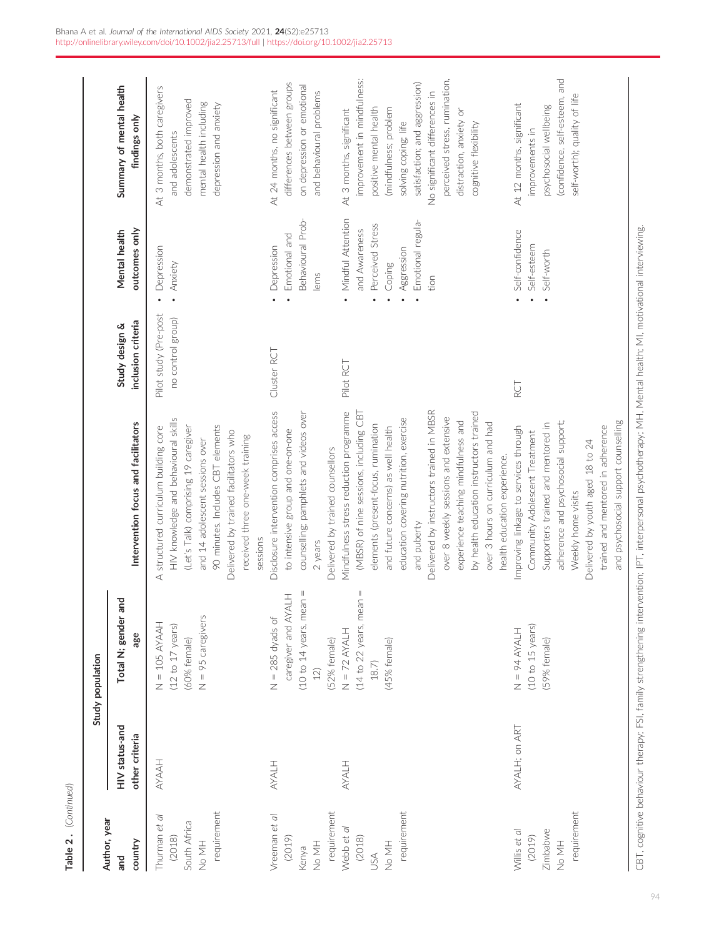| Author, year                                                    |                                  | Study population                                                                              |                                                                                                                                                                                                                                                                                                                                                                                                                                                                     |                                            |                                                                                                             |                                                                                                                                                                                                                                                                                           |
|-----------------------------------------------------------------|----------------------------------|-----------------------------------------------------------------------------------------------|---------------------------------------------------------------------------------------------------------------------------------------------------------------------------------------------------------------------------------------------------------------------------------------------------------------------------------------------------------------------------------------------------------------------------------------------------------------------|--------------------------------------------|-------------------------------------------------------------------------------------------------------------|-------------------------------------------------------------------------------------------------------------------------------------------------------------------------------------------------------------------------------------------------------------------------------------------|
| country<br>and                                                  | HIV status-and<br>other criteria | Total N; gender and<br>age                                                                    | Intervention focus and facilitators                                                                                                                                                                                                                                                                                                                                                                                                                                 | inclusion criteria<br>Study design &       | outcomes only<br>Mental health                                                                              | Summary of mental health<br>findings only                                                                                                                                                                                                                                                 |
| requirement<br>Thurman et al<br>South Africa<br>(2018)<br>HM PN | HAAYA                            | $N = 95$ caregivers<br>$N = 105$ AYAAH<br>$(12$ to $17$ years)<br>(60% female)                | HIV knowledge and behavioural skills<br>90 minutes. Includes CBT elements<br>(Let's Talk) comprising 19 caregiver<br>structured curriculum building core<br>Delivered by trained facilitators who<br>received three one-week training<br>and 14 adolescent sessions over<br>sessions<br>∢                                                                                                                                                                           | Pilot study (Pre-post<br>no control group) | Depression<br>Anxiety<br>$\ddot{\phantom{0}}$                                                               | At 3 months, both caregivers<br>demonstrated improved<br>mental health including<br>depression and anxiety<br>and adolescents                                                                                                                                                             |
| requirement<br>Vreeman et al<br>(2019)<br>HM PN<br>Kenya        | <b>AYALH</b>                     | $(10$ to 14 years, mean =<br>caregiver and AYALH<br>$N = 285$ dyads of<br>(52% female)<br>12) | Disclosure intervention comprises access<br>counselling; pamphlets and videos over<br>to intensive group and one-on-one<br>Delivered by trained counsellors<br>2 years                                                                                                                                                                                                                                                                                              | Cluster RCT                                | Behavioural Prob-<br>Emotional and<br>Depression<br>lems                                                    | differences between groups<br>on depression or emotional<br>At 24 months, no significant<br>and behavioural problems                                                                                                                                                                      |
| requirement<br>Webb et al<br>(2018)<br>HM PN<br>SSA             | HIAKA                            | $(14$ to 22 years, mean =<br>$N = 72$ AYALH<br>(45% female)<br>$18.7)$                        | Delivered by instructors trained in MBSR<br>Mindfulness stress reduction programme<br>(MBSR) of nine sessions, including CBT<br>by health education instructors trained<br>over 8 weekly sessions and extensive<br>education covering nutrition, exercise<br>experience teaching mindfulness and<br>over 3 hours on curriculum and had<br>elements (present-focus, rumination<br>and future concerns) as well health<br>health education experience.<br>and puberty | Pilot RCT                                  | Mindful Attention<br>Emotional regula-<br>Perceived Stress<br>and Awareness<br>Aggression<br>Coping<br>tion | perceived stress, rumination,<br>improvement in mindfulness:<br>satisfaction; and aggression)<br>No significant differences in<br>positive mental health<br>(mindfulness; problem<br>At 3 months, significant<br>distraction, anxiety or<br>solving coping; life<br>cognitive flexibility |
| requirement<br>Willis et al<br>Zimbabwe<br>(2019)<br>No MH      | AYALH; on ART                    | (10 to 15 years)<br>HTAXA + 6 + N<br>(59% female)                                             | and psychosocial support counselling<br>adherence and psychosocial support;<br>Supporters trained and mentored in<br>Improving linkage to services through<br>trained and mentored in adherence<br>Community Adolescent Treatment<br>Delivered by youth aged 18 to 24<br>Weekly home visits                                                                                                                                                                         | RCT                                        | Self-confidence<br>Self-esteem<br>Self-worth<br>$\bullet$                                                   | (confidence, self-esteem, and<br>self-worth); quality of life<br>At 12 months, significant<br>psychosocial wellbeing<br>improvements in                                                                                                                                                   |
|                                                                 | continue bobs in international   | atomic FCI formation the central contract of the form                                         | مدم طلم مام.<br>                                                                                                                                                                                                                                                                                                                                                                                                                                                    | was a N 41   N 4 a stall bookby N 41       | ani 101 ani 102 - 103 ani 103 an                                                                            |                                                                                                                                                                                                                                                                                           |

Table 2 . (Continued)

Table 2. (Continued)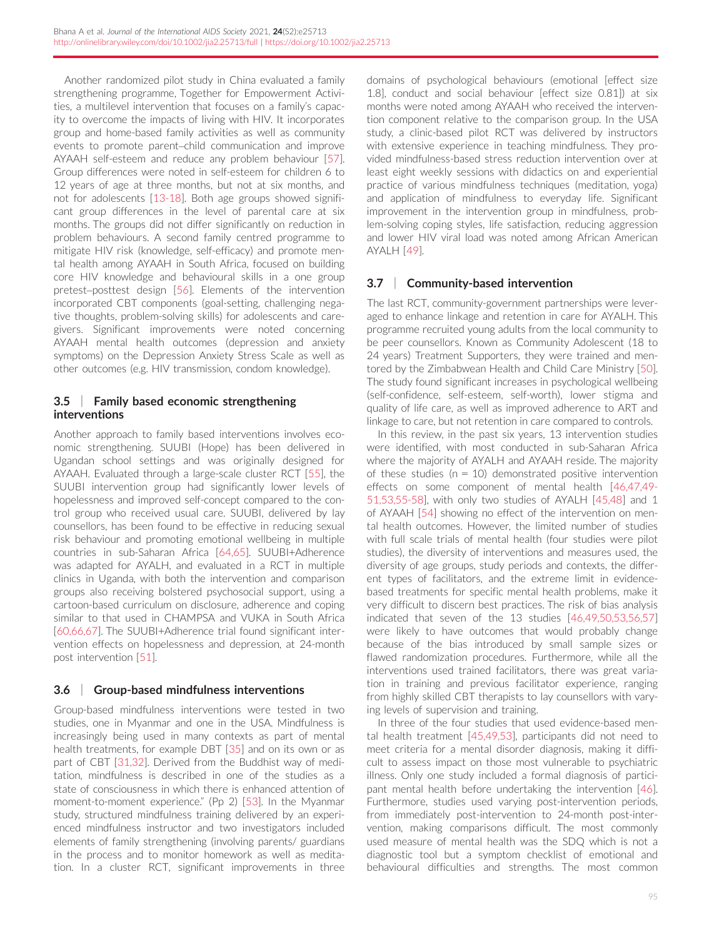Another randomized pilot study in China evaluated a family strengthening programme, Together for Empowerment Activities, a multilevel intervention that focuses on a family's capacity to overcome the impacts of living with HIV. It incorporates group and home-based family activities as well as community events to promote parent–child communication and improve AYAAH self-esteem and reduce any problem behaviour [[57](#page-11-0)]. Group differences were noted in self-esteem for children 6 to 12 years of age at three months, but not at six months, and not for adolescents [[13-18](#page-10-0)]. Both age groups showed significant group differences in the level of parental care at six months. The groups did not differ significantly on reduction in problem behaviours. A second family centred programme to mitigate HIV risk (knowledge, self-efficacy) and promote mental health among AYAAH in South Africa, focused on building core HIV knowledge and behavioural skills in a one group pretest–posttest design [\[56\]](#page-11-0). Elements of the intervention incorporated CBT components (goal-setting, challenging negative thoughts, problem-solving skills) for adolescents and caregivers. Significant improvements were noted concerning AYAAH mental health outcomes (depression and anxiety symptoms) on the Depression Anxiety Stress Scale as well as other outcomes (e.g. HIV transmission, condom knowledge).

### 3.5 | Family based economic strengthening interventions

Another approach to family based interventions involves economic strengthening. SUUBI (Hope) has been delivered in Ugandan school settings and was originally designed for AYAAH. Evaluated through a large-scale cluster RCT [\[55](#page-11-0)], the SUUBI intervention group had significantly lower levels of hopelessness and improved self-concept compared to the control group who received usual care. SUUBI, delivered by lay counsellors, has been found to be effective in reducing sexual risk behaviour and promoting emotional wellbeing in multiple countries in sub-Saharan Africa [[64,65\]](#page-11-0). SUUBI+Adherence was adapted for AYALH, and evaluated in a RCT in multiple clinics in Uganda, with both the intervention and comparison groups also receiving bolstered psychosocial support, using a cartoon-based curriculum on disclosure, adherence and coping similar to that used in CHAMPSA and VUKA in South Africa [\[60,66,67\]](#page-11-0). The SUUBI+Adherence trial found significant intervention effects on hopelessness and depression, at 24-month post intervention [\[51\]](#page-11-0).

## 3.6 | Group-based mindfulness interventions

Group-based mindfulness interventions were tested in two studies, one in Myanmar and one in the USA. Mindfulness is increasingly being used in many contexts as part of mental health treatments, for example DBT [[35](#page-11-0)] and on its own or as part of CBT [\[31,32](#page-11-0)]. Derived from the Buddhist way of meditation, mindfulness is described in one of the studies as a state of consciousness in which there is enhanced attention of moment-to-moment experience." (Pp 2) [[53](#page-11-0)]. In the Myanmar study, structured mindfulness training delivered by an experienced mindfulness instructor and two investigators included elements of family strengthening (involving parents/ guardians in the process and to monitor homework as well as meditation. In a cluster RCT, significant improvements in three

domains of psychological behaviours (emotional [effect size 1.8], conduct and social behaviour [effect size 0.81]) at six months were noted among AYAAH who received the intervention component relative to the comparison group. In the USA study, a clinic-based pilot RCT was delivered by instructors with extensive experience in teaching mindfulness. They provided mindfulness-based stress reduction intervention over at least eight weekly sessions with didactics on and experiential practice of various mindfulness techniques (meditation, yoga) and application of mindfulness to everyday life. Significant improvement in the intervention group in mindfulness, problem-solving coping styles, life satisfaction, reducing aggression and lower HIV viral load was noted among African American AYALH [\[49](#page-11-0)].

# 3.7 | Community-based intervention

The last RCT, community-government partnerships were leveraged to enhance linkage and retention in care for AYALH. This programme recruited young adults from the local community to be peer counsellors. Known as Community Adolescent (18 to 24 years) Treatment Supporters, they were trained and mentored by the Zimbabwean Health and Child Care Ministry [\[50](#page-11-0)]. The study found significant increases in psychological wellbeing (self-confidence, self-esteem, self-worth), lower stigma and quality of life care, as well as improved adherence to ART and linkage to care, but not retention in care compared to controls.

In this review, in the past six years, 13 intervention studies were identified, with most conducted in sub-Saharan Africa where the majority of AYALH and AYAAH reside. The majority of these studies ( $n = 10$ ) demonstrated positive intervention effects on some component of mental health [[46,47,49-](#page-11-0) [51,53,55-58](#page-11-0)], with only two studies of AYALH [[45,48](#page-11-0)] and 1 of AYAAH [\[54\]](#page-11-0) showing no effect of the intervention on mental health outcomes. However, the limited number of studies with full scale trials of mental health (four studies were pilot studies), the diversity of interventions and measures used, the diversity of age groups, study periods and contexts, the different types of facilitators, and the extreme limit in evidencebased treatments for specific mental health problems, make it very difficult to discern best practices. The risk of bias analysis indicated that seven of the 13 studies [\[46,49,50,53,56,57](#page-11-0)] were likely to have outcomes that would probably change because of the bias introduced by small sample sizes or flawed randomization procedures. Furthermore, while all the interventions used trained facilitators, there was great variation in training and previous facilitator experience, ranging from highly skilled CBT therapists to lay counsellors with varying levels of supervision and training.

In three of the four studies that used evidence-based mental health treatment [[45,49,53](#page-11-0)], participants did not need to meet criteria for a mental disorder diagnosis, making it difficult to assess impact on those most vulnerable to psychiatric illness. Only one study included a formal diagnosis of participant mental health before undertaking the intervention [\[46](#page-11-0)]. Furthermore, studies used varying post-intervention periods, from immediately post-intervention to 24-month post-intervention, making comparisons difficult. The most commonly used measure of mental health was the SDQ which is not a diagnostic tool but a symptom checklist of emotional and behavioural difficulties and strengths. The most common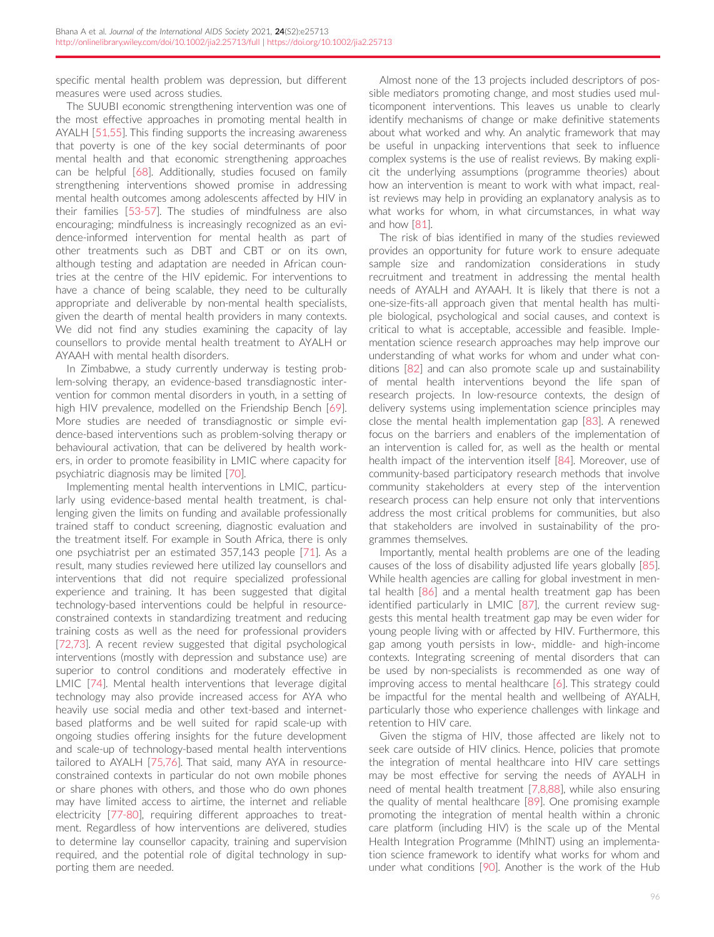specific mental health problem was depression, but different measures were used across studies.

The SUUBI economic strengthening intervention was one of the most effective approaches in promoting mental health in AYALH [[51,55\]](#page-11-0). This finding supports the increasing awareness that poverty is one of the key social determinants of poor mental health and that economic strengthening approaches can be helpful [\[68\]](#page-12-0). Additionally, studies focused on family strengthening interventions showed promise in addressing mental health outcomes among adolescents affected by HIV in their families [\[53-57\]](#page-11-0). The studies of mindfulness are also encouraging; mindfulness is increasingly recognized as an evidence-informed intervention for mental health as part of other treatments such as DBT and CBT or on its own, although testing and adaptation are needed in African countries at the centre of the HIV epidemic. For interventions to have a chance of being scalable, they need to be culturally appropriate and deliverable by non-mental health specialists, given the dearth of mental health providers in many contexts. We did not find any studies examining the capacity of lay counsellors to provide mental health treatment to AYALH or AYAAH with mental health disorders.

In Zimbabwe, a study currently underway is testing problem-solving therapy, an evidence-based transdiagnostic intervention for common mental disorders in youth, in a setting of high HIV prevalence, modelled on the Friendship Bench [[69\]](#page-12-0). More studies are needed of transdiagnostic or simple evidence-based interventions such as problem-solving therapy or behavioural activation, that can be delivered by health workers, in order to promote feasibility in LMIC where capacity for psychiatric diagnosis may be limited [[70\]](#page-12-0).

Implementing mental health interventions in LMIC, particularly using evidence-based mental health treatment, is challenging given the limits on funding and available professionally trained staff to conduct screening, diagnostic evaluation and the treatment itself. For example in South Africa, there is only one psychiatrist per an estimated 357,143 people [[71](#page-12-0)]. As a result, many studies reviewed here utilized lay counsellors and interventions that did not require specialized professional experience and training. It has been suggested that digital technology-based interventions could be helpful in resourceconstrained contexts in standardizing treatment and reducing training costs as well as the need for professional providers [\[72,73](#page-12-0)]. A recent review suggested that digital psychological interventions (mostly with depression and substance use) are superior to control conditions and moderately effective in LMIC [\[74\]](#page-12-0). Mental health interventions that leverage digital technology may also provide increased access for AYA who heavily use social media and other text-based and internetbased platforms and be well suited for rapid scale-up with ongoing studies offering insights for the future development and scale-up of technology-based mental health interventions tailored to AYALH [[75,76](#page-12-0)]. That said, many AYA in resourceconstrained contexts in particular do not own mobile phones or share phones with others, and those who do own phones may have limited access to airtime, the internet and reliable electricity [\[77-80\]](#page-12-0), requiring different approaches to treatment. Regardless of how interventions are delivered, studies to determine lay counsellor capacity, training and supervision required, and the potential role of digital technology in supporting them are needed.

Almost none of the 13 projects included descriptors of possible mediators promoting change, and most studies used multicomponent interventions. This leaves us unable to clearly identify mechanisms of change or make definitive statements about what worked and why. An analytic framework that may be useful in unpacking interventions that seek to influence complex systems is the use of realist reviews. By making explicit the underlying assumptions (programme theories) about how an intervention is meant to work with what impact, realist reviews may help in providing an explanatory analysis as to what works for whom, in what circumstances, in what way and how [\[81\]](#page-12-0).

The risk of bias identified in many of the studies reviewed provides an opportunity for future work to ensure adequate sample size and randomization considerations in study recruitment and treatment in addressing the mental health needs of AYALH and AYAAH. It is likely that there is not a one-size-fits-all approach given that mental health has multiple biological, psychological and social causes, and context is critical to what is acceptable, accessible and feasible. Implementation science research approaches may help improve our understanding of what works for whom and under what conditions [[82](#page-12-0)] and can also promote scale up and sustainability of mental health interventions beyond the life span of research projects. In low-resource contexts, the design of delivery systems using implementation science principles may close the mental health implementation gap [[83\]](#page-12-0). A renewed focus on the barriers and enablers of the implementation of an intervention is called for, as well as the health or mental health impact of the intervention itself [\[84\]](#page-12-0). Moreover, use of community-based participatory research methods that involve community stakeholders at every step of the intervention research process can help ensure not only that interventions address the most critical problems for communities, but also that stakeholders are involved in sustainability of the programmes themselves.

Importantly, mental health problems are one of the leading causes of the loss of disability adjusted life years globally [[85](#page-12-0)]. While health agencies are calling for global investment in mental health [\[86](#page-12-0)] and a mental health treatment gap has been identified particularly in LMIC [\[87\]](#page-12-0), the current review suggests this mental health treatment gap may be even wider for young people living with or affected by HIV. Furthermore, this gap among youth persists in low-, middle- and high-income contexts. Integrating screening of mental disorders that can be used by non-specialists is recommended as one way of improving access to mental healthcare [[6](#page-10-0)]. This strategy could be impactful for the mental health and wellbeing of AYALH, particularly those who experience challenges with linkage and retention to HIV care.

Given the stigma of HIV, those affected are likely not to seek care outside of HIV clinics. Hence, policies that promote the integration of mental healthcare into HIV care settings may be most effective for serving the needs of AYALH in need of mental health treatment [\[7,8,88](#page-10-0)], while also ensuring the quality of mental healthcare [\[89](#page-12-0)]. One promising example promoting the integration of mental health within a chronic care platform (including HIV) is the scale up of the Mental Health Integration Programme (MhINT) using an implementation science framework to identify what works for whom and under what conditions [[90\]](#page-12-0). Another is the work of the Hub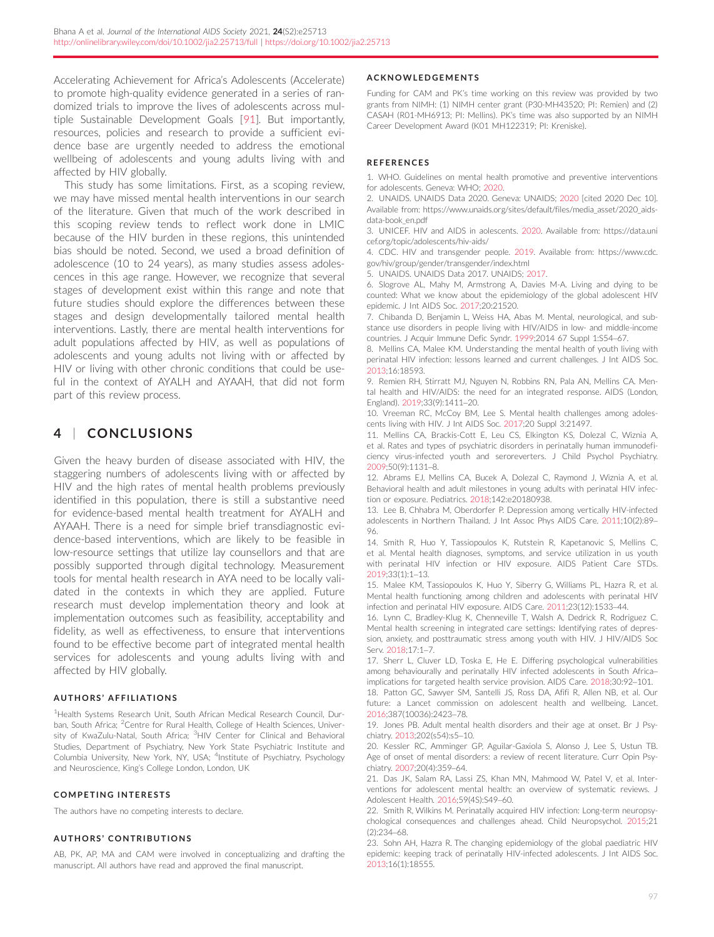<span id="page-10-0"></span>Accelerating Achievement for Africa's Adolescents (Accelerate) to promote high-quality evidence generated in a series of randomized trials to improve the lives of adolescents across multiple Sustainable Development Goals [[91](#page-12-0)]. But importantly, resources, policies and research to provide a sufficient evidence base are urgently needed to address the emotional wellbeing of adolescents and young adults living with and affected by HIV globally.

This study has some limitations. First, as a scoping review, we may have missed mental health interventions in our search of the literature. Given that much of the work described in this scoping review tends to reflect work done in LMIC because of the HIV burden in these regions, this unintended bias should be noted. Second, we used a broad definition of adolescence (10 to 24 years), as many studies assess adolescences in this age range. However, we recognize that several stages of development exist within this range and note that future studies should explore the differences between these stages and design developmentally tailored mental health interventions. Lastly, there are mental health interventions for adult populations affected by HIV, as well as populations of adolescents and young adults not living with or affected by HIV or living with other chronic conditions that could be useful in the context of AYALH and AYAAH, that did not form part of this review process.

# 4 | CONCLUSIONS

Given the heavy burden of disease associated with HIV, the staggering numbers of adolescents living with or affected by HIV and the high rates of mental health problems previously identified in this population, there is still a substantive need for evidence-based mental health treatment for AYALH and AYAAH. There is a need for simple brief transdiagnostic evidence-based interventions, which are likely to be feasible in low-resource settings that utilize lay counsellors and that are possibly supported through digital technology. Measurement tools for mental health research in AYA need to be locally validated in the contexts in which they are applied. Future research must develop implementation theory and look at implementation outcomes such as feasibility, acceptability and fidelity, as well as effectiveness, to ensure that interventions found to be effective become part of integrated mental health services for adolescents and young adults living with and affected by HIV globally.

#### AUTHORS ' AFFILIATIONS

<sup>1</sup>Health Systems Research Unit, South African Medical Research Council, Durban, South Africa; <sup>2</sup>Centre for Rural Health, College of Health Sciences, University of KwaZulu-Natal, South Africa; <sup>3</sup>HIV Center for Clinical and Behavioral Studies, Department of Psychiatry, New York State Psychiatric Institute and Columbia University, New York, NY, USA; <sup>4</sup>Institute of Psychiatry, Psychology and Neuroscience, King's College London, London, UK

#### COMPETING INTERESTS

The authors have no competing interests to declare.

#### AUTHORS ' CONTRIBUTIONS

AB, PK, AP, MA and CAM were involved in conceptualizing and drafting the manuscript. All authors have read and approved the final manuscript.

#### ACKNOWLEDGEMENTS

Funding for CAM and PK's time working on this review was provided by two grants from NIMH: (1) NIMH center grant (P30-MH43520; PI: Remien) and (2) CASAH (R01-MH6913; PI: Mellins). PK's time was also supported by an NIMH Career Development Award (K01 MH122319; PI: Kreniske).

#### **REFERENCES**

1. WHO. Guidelines on mental health promotive and preventive interventions for adolescents. Geneva: WHO; 2020.

2. UNAIDS. UNAIDS Data 2020. Geneva: UNAIDS; 2020 [cited 2020 Dec 10]. Available from: [https://www.unaids.org/sites/default/files/media\\_asset/2020\\_aids](https://www.unaids.org/sites/default/files/media_asset/2020_aids-data-book_en.pdf)[data-book\\_en.pdf](https://www.unaids.org/sites/default/files/media_asset/2020_aids-data-book_en.pdf)

3. UNICEF. HIV and AIDS in aolescents. 2020. Available from: [https://data.uni](https://data.unicef.org/topic/adolescents/hiv-aids/) [cef.org/topic/adolescents/hiv-aids/](https://data.unicef.org/topic/adolescents/hiv-aids/)

4. CDC. HIV and transgender people. 2019. Available from: [https://www.cdc.](https://www.cdc.gov/hiv/group/gender/transgender/index.html) [gov/hiv/group/gender/transgender/index.html](https://www.cdc.gov/hiv/group/gender/transgender/index.html)

5. UNAIDS. UNAIDS Data 2017. UNAIDS; 2017.

6. Slogrove AL, Mahy M, Armstrong A, Davies M-A. Living and dying to be counted: What we know about the epidemiology of the global adolescent HIV epidemic. J Int AIDS Soc. 2017;20:21520.

7. Chibanda D, Benjamin L, Weiss HA, Abas M. Mental, neurological, and substance use disorders in people living with HIV/AIDS in low- and middle-income countries. J Acquir Immune Defic Syndr. 1999;2014 67 Suppl 1:S54–67.

8. Mellins CA, Malee KM. Understanding the mental health of youth living with perinatal HIV infection: lessons learned and current challenges. J Int AIDS Soc. 2013;16:18593.

9. Remien RH, Stirratt MJ, Nguyen N, Robbins RN, Pala AN, Mellins CA. Mental health and HIV/AIDS: the need for an integrated response. AIDS (London, England). 2019;33(9):1411–20.

10. Vreeman RC, McCoy BM, Lee S. Mental health challenges among adolescents living with HIV. J Int AIDS Soc. 2017;20 Suppl 3:21497.

11. Mellins CA, Brackis-Cott E, Leu CS, Elkington KS, Dolezal C, Wiznia A, et al. Rates and types of psychiatric disorders in perinatally human immunodeficiency virus-infected youth and seroreverters. J Child Psychol Psychiatry. 2009;50(9):1131–8.

12. Abrams EJ, Mellins CA, Bucek A, Dolezal C, Raymond J, Wiznia A, et al. Behavioral health and adult milestones in young adults with perinatal HIV infection or exposure. Pediatrics. 2018;142:e20180938.

13. Lee B, Chhabra M, Oberdorfer P. Depression among vertically HIV-infected adolescents in Northern Thailand. J Int Assoc Phys AIDS Care. 2011;10(2):89– 96.

14. Smith R, Huo Y, Tassiopoulos K, Rutstein R, Kapetanovic S, Mellins C, et al. Mental health diagnoses, symptoms, and service utilization in us youth with perinatal HIV infection or HIV exposure. AIDS Patient Care STDs. 2019;33(1):1–13.

15. Malee KM, Tassiopoulos K, Huo Y, Siberry G, Williams PL, Hazra R, et al. Mental health functioning among children and adolescents with perinatal HIV infection and perinatal HIV exposure. AIDS Care. 2011;23(12):1533–44.

16. Lynn C, Bradley-Klug K, Chenneville T, Walsh A, Dedrick R, Rodriguez C. Mental health screening in integrated care settings: Identifying rates of depression, anxiety, and posttraumatic stress among youth with HIV. J HIV/AIDS Soc Serv. 2018;17:1–7.

17. Sherr L, Cluver LD, Toska E, He E. Differing psychological vulnerabilities among behaviourally and perinatally HIV infected adolescents in South Africa– implications for targeted health service provision. AIDS Care. 2018;30:92–101.

18. Patton GC, Sawyer SM, Santelli JS, Ross DA, Afifi R, Allen NB, et al. Our future: a Lancet commission on adolescent health and wellbeing. Lancet. 2016;387(10036):2423–78.

19. Jones PB. Adult mental health disorders and their age at onset. Br J Psychiatry. 2013;202(s54):s5–10.

20. Kessler RC, Amminger GP, Aguilar-Gaxiola S, Alonso J, Lee S, Ustun TB. Age of onset of mental disorders: a review of recent literature. Curr Opin Psychiatry. 2007;20(4):359–64.

21. Das JK, Salam RA, Lassi ZS, Khan MN, Mahmood W, Patel V, et al. Interventions for adolescent mental health: an overview of systematic reviews. J Adolescent Health. 2016;59(4S):S49–60.

22. Smith R, Wilkins M. Perinatally acquired HIV infection: Long-term neuropsychological consequences and challenges ahead. Child Neuropsychol. 2015;21 (2):234–68.

23. Sohn AH, Hazra R. The changing epidemiology of the global paediatric HIV epidemic: keeping track of perinatally HIV-infected adolescents. J Int AIDS Soc. 2013;16(1):18555.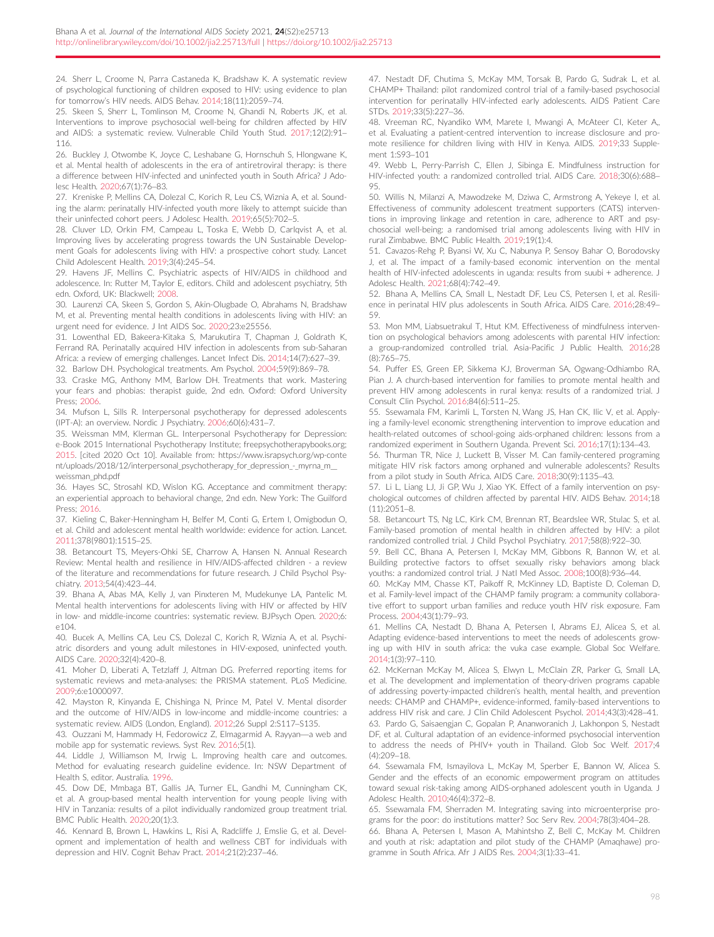<span id="page-11-0"></span>24. Sherr L, Croome N, Parra Castaneda K, Bradshaw K. A systematic review of psychological functioning of children exposed to HIV: using evidence to plan for tomorrow's HIV needs. AIDS Behav. 2014;18(11):2059–74.

25. Skeen S, Sherr L, Tomlinson M, Croome N, Ghandi N, Roberts JK, et al. Interventions to improve psychosocial well-being for children affected by HIV and AIDS: a systematic review. Vulnerable Child Youth Stud. 2017;12(2):91– 116.

26. Buckley J, Otwombe K, Joyce C, Leshabane G, Hornschuh S, Hlongwane K, et al. Mental health of adolescents in the era of antiretroviral therapy: is there a difference between HIV-infected and uninfected youth in South Africa? J Adolesc Health. 2020;67(1):76–83.

27. Kreniske P, Mellins CA, Dolezal C, Korich R, Leu CS, Wiznia A, et al. Sounding the alarm: perinatally HIV-infected youth more likely to attempt suicide than their uninfected cohort peers. J Adolesc Health. 2019;65(5):702–5.

28. Cluver LD, Orkin FM, Campeau L, Toska E, Webb D, Carlqvist A, et al. Improving lives by accelerating progress towards the UN Sustainable Development Goals for adolescents living with HIV: a prospective cohort study. Lancet Child Adolescent Health. 2019;3(4):245–54.

29. Havens JF, Mellins C. Psychiatric aspects of HIV/AIDS in childhood and adolescence. In: Rutter M, Taylor E, editors. Child and adolescent psychiatry, 5th edn. Oxford, UK: Blackwell; 2008.

30. Laurenzi CA, Skeen S, Gordon S, Akin-Olugbade O, Abrahams N, Bradshaw M, et al. Preventing mental health conditions in adolescents living with HIV: an urgent need for evidence. J Int AIDS Soc. 2020;23:e25556.

31. Lowenthal ED, Bakeera-Kitaka S, Marukutira T, Chapman J, Goldrath K, Ferrand RA. Perinatally acquired HIV infection in adolescents from sub-Saharan Africa: a review of emerging challenges. Lancet Infect Dis. 2014;14(7):627–39. 32. Barlow DH. Psychological treatments. Am Psychol. 2004;59(9):869–78.

33. Craske MG, Anthony MM, Barlow DH. Treatments that work. Mastering your fears and phobias: therapist guide, 2nd edn. Oxford: Oxford University Press; 2006.

34. Mufson L, Sills R. Interpersonal psychotherapy for depressed adolescents (IPT-A): an overview. Nordic J Psychiatry. 2006;60(6):431–7.

35. Weissman MM, Klerman GL. Interpersonal Psychotherapy for Depression: e-Book 2015 International Psychotherapy Institute; freepsychotherapybooks.org; 2015. [cited 2020 Oct 10]. Available from: [https://www.israpsych.org/wp-conte](https://www.israpsych.org/wp-content/uploads/2018/12/interpersonal_psychotherapy_for_depression_-_myrna_m__weissman_phd.pdf) nt/uploads/2018/12/interpersonal\_psychotherapy\_for\_depression\_-\_myrna\_m\_ [weissman\\_phd.pdf](https://www.israpsych.org/wp-content/uploads/2018/12/interpersonal_psychotherapy_for_depression_-_myrna_m__weissman_phd.pdf)

36. Hayes SC, Strosahl KD, Wislon KG. Acceptance and commitment therapy: an experiential approach to behavioral change, 2nd edn. New York: The Guilford Press; 2016.

37. Kieling C, Baker-Henningham H, Belfer M, Conti G, Ertem I, Omigbodun O, et al. Child and adolescent mental health worldwide: evidence for action. Lancet. 2011;378(9801):1515–25.

38. Betancourt TS, Meyers-Ohki SE, Charrow A, Hansen N. Annual Research Review: Mental health and resilience in HIV/AIDS-affected children - a review of the literature and recommendations for future research. J Child Psychol Psychiatry. 2013;54(4):423–44.

39. Bhana A, Abas MA, Kelly J, van Pinxteren M, Mudekunye LA, Pantelic M. Mental health interventions for adolescents living with HIV or affected by HIV in low- and middle-income countries: systematic review. BJPsych Open. 2020;6: e104.

40. Bucek A, Mellins CA, Leu CS, Dolezal C, Korich R, Wiznia A, et al. Psychiatric disorders and young adult milestones in HIV-exposed, uninfected youth. AIDS Care. 2020;32(4):420–8.

41. Moher D, Liberati A, Tetzlaff J, Altman DG. Preferred reporting items for systematic reviews and meta-analyses: the PRISMA statement. PLoS Medicine. 2009;6:e1000097.

42. Mayston R, Kinyanda E, Chishinga N, Prince M, Patel V. Mental disorder and the outcome of HIV/AIDS in low-income and middle-income countries: a systematic review. AIDS (London, England). 2012;26 Suppl 2:S117–S135.

43. Ouzzani M, Hammady H, Fedorowicz Z, Elmagarmid A. Rayyan—a web and mobile app for systematic reviews. Syst Rev. 2016;5(1).

44. Liddle J, Williamson M, Irwig L. Improving health care and outcomes. Method for evaluating research guideline evidence. In: NSW Department of Health S, editor. Australia. 1996.

45. Dow DE, Mmbaga BT, Gallis JA, Turner EL, Gandhi M, Cunningham CK, et al. A group-based mental health intervention for young people living with HIV in Tanzania: results of a pilot individually randomized group treatment trial. BMC Public Health. 2020;20(1):3.

46. Kennard B, Brown L, Hawkins L, Risi A, Radcliffe J, Emslie G, et al. Development and implementation of health and wellness CBT for individuals with depression and HIV. Cognit Behav Pract. 2014;21(2):237–46.

47. Nestadt DF, Chutima S, McKay MM, Torsak B, Pardo G, Sudrak L, et al. CHAMP+ Thailand: pilot randomized control trial of a family-based psychosocial intervention for perinatally HIV-infected early adolescents. AIDS Patient Care STDs. 2019;33(5):227–36.

48. Vreeman RC, Nyandiko WM, Marete I, Mwangi A, McAteer CI, Keter A,, et al. Evaluating a patient-centred intervention to increase disclosure and promote resilience for children living with HIV in Kenya. AIDS. 2019;33 Supplement 1:S93–101

49. Webb L, Perry-Parrish C, Ellen J, Sibinga E. Mindfulness instruction for HIV-infected youth: a randomized controlled trial. AIDS Care. 2018;30(6):688–  $05$ 

50. Willis N, Milanzi A, Mawodzeke M, Dziwa C, Armstrong A, Yekeye I, et al. Effectiveness of community adolescent treatment supporters (CATS) interventions in improving linkage and retention in care, adherence to ART and psychosocial well-being: a randomised trial among adolescents living with HIV in rural Zimbabwe. BMC Public Health. 2019;19(1):4.

51. Cavazos-Rehg P, Byansi W, Xu C, Nabunya P, Sensoy Bahar O, Borodovsky J, et al. The impact of a family-based economic intervention on the mental health of HIV-infected adolescents in uganda: results from suubi + adherence. J Adolesc Health. 2021;68(4):742–49.

52. Bhana A, Mellins CA, Small L, Nestadt DF, Leu CS, Petersen I, et al. Resilience in perinatal HIV plus adolescents in South Africa. AIDS Care. 2016;28:49– 59.

53. Mon MM, Liabsuetrakul T, Htut KM. Effectiveness of mindfulness intervention on psychological behaviors among adolescents with parental HIV infection: a group-randomized controlled trial. Asia-Pacific J Public Health. 2016;28 (8):765–75.

54. Puffer ES, Green EP, Sikkema KJ, Broverman SA, Ogwang-Odhiambo RA, Pian J. A church-based intervention for families to promote mental health and prevent HIV among adolescents in rural kenya: results of a randomized trial. J Consult Clin Psychol. 2016;84(6):511–25.

55. Ssewamala FM, Karimli L, Torsten N, Wang JS, Han CK, Ilic V, et al. Applying a family-level economic strengthening intervention to improve education and health-related outcomes of school-going aids-orphaned children: lessons from a randomized experiment in Southern Uganda. Prevent Sci. 2016;17(1):134–43.

56. Thurman TR, Nice J, Luckett B, Visser M. Can family-centered programing mitigate HIV risk factors among orphaned and vulnerable adolescents? Results from a pilot study in South Africa. AIDS Care. 2018;30(9):1135–43.

57. Li L, Liang LJ, Ji GP, Wu J, Xiao YK. Effect of a family intervention on psychological outcomes of children affected by parental HIV. AIDS Behav. 2014;18 (11):2051–8.

58. Betancourt TS, Ng LC, Kirk CM, Brennan RT, Beardslee WR, Stulac S, et al. Family-based promotion of mental health in children affected by HIV: a pilot randomized controlled trial. J Child Psychol Psychiatry. 2017;58(8):922–30.

59. Bell CC, Bhana A, Petersen I, McKay MM, Gibbons R, Bannon W, et al. Building protective factors to offset sexually risky behaviors among black youths: a randomized control trial. J Natl Med Assoc. 2008;100(8):936–44.

60. McKay MM, Chasse KT, Paikoff R, McKinney LD, Baptiste D, Coleman D, et al. Family-level impact of the CHAMP family program: a community collaborative effort to support urban families and reduce youth HIV risk exposure. Fam Process. 2004;43(1):79–93.

61. Mellins CA, Nestadt D, Bhana A, Petersen I, Abrams EJ, Alicea S, et al. Adapting evidence-based interventions to meet the needs of adolescents growing up with HIV in south africa: the vuka case example. Global Soc Welfare. 2014;1(3):97–110.

62. McKernan McKay M, Alicea S, Elwyn L, McClain ZR, Parker G, Small LA, et al. The development and implementation of theory-driven programs capable of addressing poverty-impacted children's health, mental health, and prevention needs: CHAMP and CHAMP+, evidence-informed, family-based interventions to address HIV risk and care. J Clin Child Adolescent Psychol. 2014;43(3):428–41. 63. Pardo G, Saisaengjan C, Gopalan P, Ananworanich J, Lakhonpon S, Nestadt DF, et al. Cultural adaptation of an evidence-informed psychosocial intervention to address the needs of PHIV+ youth in Thailand. Glob Soc Welf. 2017;4 (4):209–18.

64. Ssewamala FM, Ismayilova L, McKay M, Sperber E, Bannon W, Alicea S. Gender and the effects of an economic empowerment program on attitudes toward sexual risk-taking among AIDS-orphaned adolescent youth in Uganda. J Adolesc Health. 2010;46(4):372–8.

65. Ssewamala FM, Sherraden M. Integrating saving into microenterprise programs for the poor: do institutions matter? Soc Serv Rev. 2004;78(3):404–28.

66. Bhana A, Petersen I, Mason A, Mahintsho Z, Bell C, McKay M. Children and youth at risk: adaptation and pilot study of the CHAMP (Amaqhawe) programme in South Africa. Afr J AIDS Res. 2004;3(1):33–41.